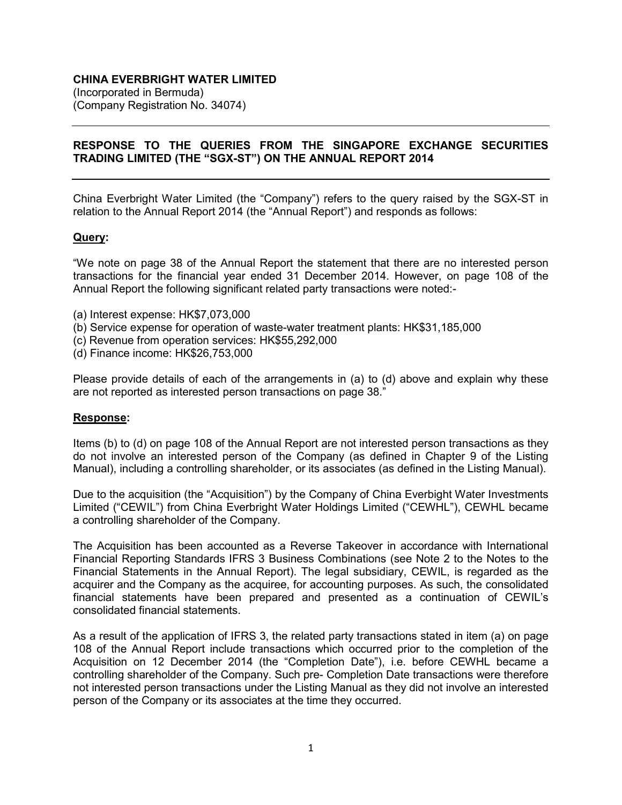# **CHINA EVERBRIGHT WATER LIMITED**

(Incorporated in Bermuda) (Company Registration No. 34074)

## **RESPONSE TO THE QUERIES FROM THE SINGAPORE EXCHANGE SECURITIES TRADING LIMITED (THE "SGX-ST") ON THE ANNUAL REPORT 2014**

China Everbright Water Limited (the "Company") refers to the query raised by the SGX-ST in relation to the Annual Report 2014 (the "Annual Report") and responds as follows:

### **Query:**

"We note on page 38 of the Annual Report the statement that there are no interested person transactions for the financial year ended 31 December 2014. However, on page 108 of the Annual Report the following significant related party transactions were noted:-

- (a) Interest expense: HK\$7,073,000
- (b) Service expense for operation of waste-water treatment plants: HK\$31,185,000
- (c) Revenue from operation services: HK\$55,292,000
- (d) Finance income: HK\$26,753,000

Please provide details of each of the arrangements in (a) to (d) above and explain why these are not reported as interested person transactions on page 38."

#### **Response:**

Items (b) to (d) on page 108 of the Annual Report are not interested person transactions as they do not involve an interested person of the Company (as defined in Chapter 9 of the Listing Manual), including a controlling shareholder, or its associates (as defined in the Listing Manual).

Due to the acquisition (the "Acquisition") by the Company of China Everbight Water Investments Limited ("CEWIL") from China Everbright Water Holdings Limited ("CEWHL"), CEWHL became a controlling shareholder of the Company.

The Acquisition has been accounted as a Reverse Takeover in accordance with International Financial Reporting Standards IFRS 3 Business Combinations (see Note 2 to the Notes to the Financial Statements in the Annual Report). The legal subsidiary, CEWIL, is regarded as the acquirer and the Company as the acquiree, for accounting purposes. As such, the consolidated financial statements have been prepared and presented as a continuation of CEWIL's consolidated financial statements.

As a result of the application of IFRS 3, the related party transactions stated in item (a) on page 108 of the Annual Report include transactions which occurred prior to the completion of the Acquisition on 12 December 2014 (the "Completion Date"), i.e. before CEWHL became a controlling shareholder of the Company. Such pre- Completion Date transactions were therefore not interested person transactions under the Listing Manual as they did not involve an interested person of the Company or its associates at the time they occurred.